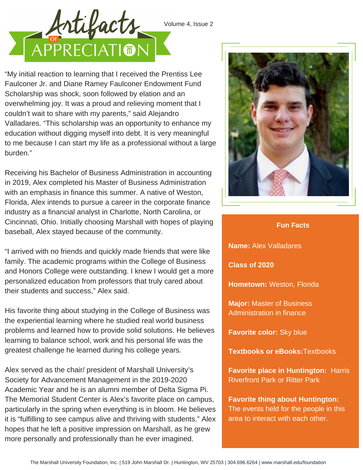



"My initial reaction to learning that I received the Prentiss Lee Faulconer Jr. and Diane Ramey Faulconer Endowment Fund Scholarship was shock, soon followed by elation and an overwhelming joy. It was a proud and relieving moment that I couldn't wait to share with my parents," said Alejandro Valladares. "This scholarship was an opportunity to enhance my education without digging myself into debt. It is very meaningful to me because I can start my life as a professional without a large burden."

Receiving his Bachelor of Business Administration in accounting in 2019, Alex completed his Master of Business Administration with an emphasis in finance this summer. A native of Weston, Florida, Alex intends to pursue a career in the corporate finance industry as a financial analyst in Charlotte, North Carolina, or Cincinnati, Ohio. Initially choosing Marshall with hopes of playing baseball, Alex stayed because of the community.

"I arrived with no friends and quickly made friends that were like family. The academic programs within the College of Business and Honors College were outstanding. I knew I would get a more personalized education from professors that truly cared about their students and success," Alex said.

His favorite thing about studying in the College of Business was the experiential learning where he studied real world business problems and learned how to provide solid solutions. He believes learning to balance school, work and his personal life was the greatest challenge he learned during his college years.

Alex served as the chair/ president of Marshall University's Society for Advancement Management in the 2019-2020 Academic Year and he is an alumni member of Delta Sigma Pi. The Memorial Student Center is Alex's favorite place on campus, particularly in the spring when everything is in bloom. He believes it is "fulfilling to see campus alive and thriving with students." Alex hopes that he left a positive impression on Marshall, as he grew more personally and professionally than he ever imagined.



## **Fun Facts**

**Name:** Alex Valladares

**Class of 2020**

**Hometown:** Weston, Florida

**Major:** Master of Business Administration in finance

**Favorite color:** Sky blue

**Textbooks or eBooks:**Textbooks

**Favorite place in Huntington:** Harris Riverfront Park or Ritter Park

**Favorite thing about Huntington:** The events held for the people in this area to interact with each other.